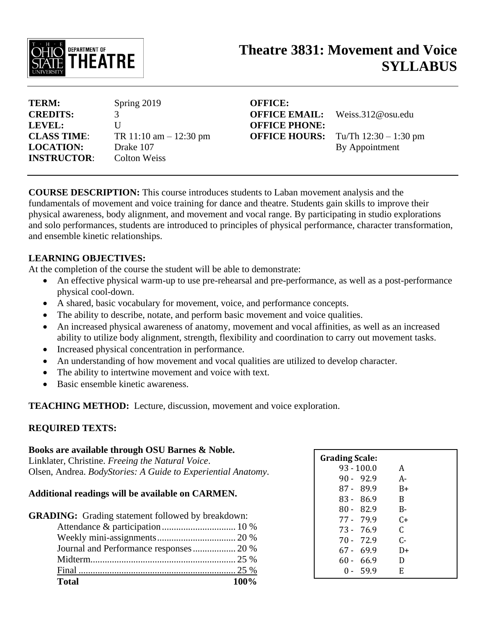

# **Theatre 3831: Movement and Voice SYLLABUS**

| TERM:              | Spring 2019               |
|--------------------|---------------------------|
| <b>CREDITS:</b>    | 3                         |
| LEVEL:             | $\mathbf{I}$              |
| <b>CLASS TIME:</b> | TR $11:10$ am $-12:30$ pm |
| <b>LOCATION:</b>   | Drake 107                 |
| <b>INSTRUCTOR:</b> | Colton Weiss              |

**OFFICE: OFFICE PHONE:**

**OFFICE EMAIL:** Weiss.312@osu.edu **OFFICE HOURS:** Tu/Th 12:30 – 1:30 pm By Appointment

**COURSE DESCRIPTION:** This course introduces students to Laban movement analysis and the fundamentals of movement and voice training for dance and theatre. Students gain skills to improve their physical awareness, body alignment, and movement and vocal range. By participating in studio explorations and solo performances, students are introduced to principles of physical performance, character transformation, and ensemble kinetic relationships.

#### **LEARNING OBJECTIVES:**

At the completion of the course the student will be able to demonstrate:

- An effective physical warm-up to use pre-rehearsal and pre-performance, as well as a post-performance physical cool-down.
- A shared, basic vocabulary for movement, voice, and performance concepts.
- The ability to describe, notate, and perform basic movement and voice qualities.
- An increased physical awareness of anatomy, movement and vocal affinities, as well as an increased ability to utilize body alignment, strength, flexibility and coordination to carry out movement tasks.
- Increased physical concentration in performance.
- An understanding of how movement and vocal qualities are utilized to develop character.
- The ability to intertwine movement and voice with text.
- Basic ensemble kinetic awareness.

**TEACHING METHOD:** Lecture, discussion, movement and voice exploration.

#### **REQUIRED TEXTS:**

# **Books are available through OSU Barnes & Noble.** Linklater, Christine. *Freeing the Natural Voice*. Olsen, Andrea. *BodyStories: A Guide to Experiential Anatomy*.

## **Additional readings will be available on CARMEN.**

| <b>Total</b>                                             | 100% |
|----------------------------------------------------------|------|
|                                                          |      |
|                                                          |      |
| Journal and Performance responses 20 %                   |      |
|                                                          |      |
|                                                          |      |
| <b>GRADING:</b> Grading statement followed by breakdown: |      |

| $93 - 100.0$<br>A<br>$90 - 92.9$<br>А-<br>$87 - 89.9$<br>B+<br>$83 - 86.9$ | <b>Grading Scale:</b> |   |  |
|----------------------------------------------------------------------------|-----------------------|---|--|
|                                                                            |                       |   |  |
|                                                                            |                       |   |  |
|                                                                            |                       |   |  |
|                                                                            |                       | B |  |
| $80 - 82.9$<br>$B -$                                                       |                       |   |  |
| 77 - 79.9<br>$C_{\pm}$                                                     |                       |   |  |
| C<br>73 - 76.9                                                             |                       |   |  |
| $C -$<br>70 - 72.9                                                         |                       |   |  |
| $67 - 69.9$<br>D+                                                          |                       |   |  |
| $60 - 66.9$<br>D                                                           |                       |   |  |
| 0 - 59.9<br>F.                                                             |                       |   |  |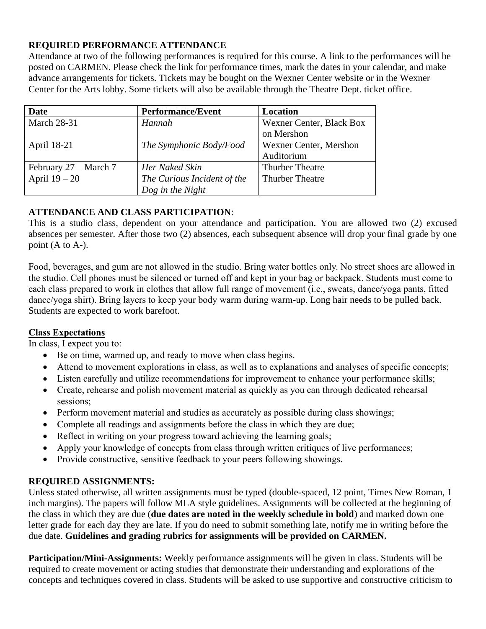#### **REQUIRED PERFORMANCE ATTENDANCE**

Attendance at two of the following performances is required for this course. A link to the performances will be posted on CARMEN. Please check the link for performance times, mark the dates in your calendar, and make advance arrangements for tickets. Tickets may be bought on the Wexner Center website or in the Wexner Center for the Arts lobby. Some tickets will also be available through the Theatre Dept. ticket office.

| <b>Date</b>           | <b>Performance/Event</b>    | Location                 |
|-----------------------|-----------------------------|--------------------------|
| <b>March 28-31</b>    | Hannah                      | Wexner Center, Black Box |
|                       |                             | on Mershon               |
| April 18-21           | The Symphonic Body/Food     | Wexner Center, Mershon   |
|                       |                             | Auditorium               |
| February 27 – March 7 | Her Naked Skin              | <b>Thurber Theatre</b>   |
| April $19-20$         | The Curious Incident of the | <b>Thurber Theatre</b>   |
|                       | Dog in the Night            |                          |

#### **ATTENDANCE AND CLASS PARTICIPATION**:

This is a studio class, dependent on your attendance and participation. You are allowed two (2) excused absences per semester. After those two (2) absences, each subsequent absence will drop your final grade by one point (A to A-).

Food, beverages, and gum are not allowed in the studio. Bring water bottles only. No street shoes are allowed in the studio. Cell phones must be silenced or turned off and kept in your bag or backpack. Students must come to each class prepared to work in clothes that allow full range of movement (i.e., sweats, dance/yoga pants, fitted dance/yoga shirt). Bring layers to keep your body warm during warm-up. Long hair needs to be pulled back. Students are expected to work barefoot.

#### **Class Expectations**

In class, I expect you to:

- Be on time, warmed up, and ready to move when class begins.
- Attend to movement explorations in class, as well as to explanations and analyses of specific concepts;
- Listen carefully and utilize recommendations for improvement to enhance your performance skills;
- Create, rehearse and polish movement material as quickly as you can through dedicated rehearsal sessions;
- Perform movement material and studies as accurately as possible during class showings;
- Complete all readings and assignments before the class in which they are due;
- Reflect in writing on your progress toward achieving the learning goals;
- Apply your knowledge of concepts from class through written critiques of live performances;
- Provide constructive, sensitive feedback to your peers following showings.

#### **REQUIRED ASSIGNMENTS:**

Unless stated otherwise, all written assignments must be typed (double-spaced, 12 point, Times New Roman, 1 inch margins). The papers will follow MLA style guidelines. Assignments will be collected at the beginning of the class in which they are due (**due dates are noted in the weekly schedule in bold**) and marked down one letter grade for each day they are late. If you do need to submit something late, notify me in writing before the due date. **Guidelines and grading rubrics for assignments will be provided on CARMEN.**

**Participation/Mini-Assignments:** Weekly performance assignments will be given in class. Students will be required to create movement or acting studies that demonstrate their understanding and explorations of the concepts and techniques covered in class. Students will be asked to use supportive and constructive criticism to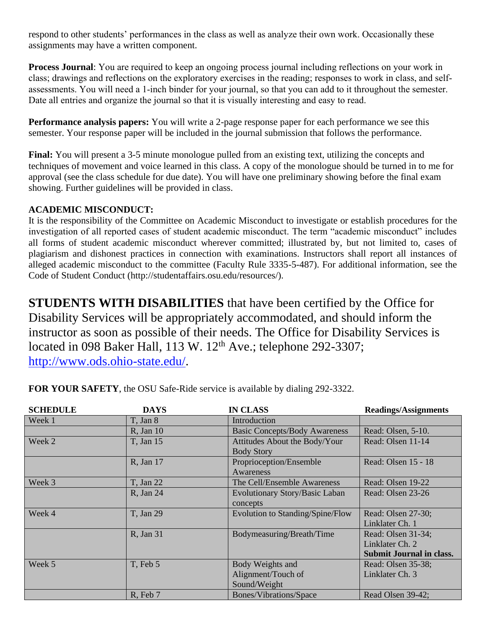respond to other students' performances in the class as well as analyze their own work. Occasionally these assignments may have a written component.

**Process Journal**: You are required to keep an ongoing process journal including reflections on your work in class; drawings and reflections on the exploratory exercises in the reading; responses to work in class, and selfassessments. You will need a 1-inch binder for your journal, so that you can add to it throughout the semester. Date all entries and organize the journal so that it is visually interesting and easy to read.

**Performance analysis papers:** You will write a 2-page response paper for each performance we see this semester. Your response paper will be included in the journal submission that follows the performance.

**Final:** You will present a 3-5 minute monologue pulled from an existing text, utilizing the concepts and techniques of movement and voice learned in this class. A copy of the monologue should be turned in to me for approval (see the class schedule for due date). You will have one preliminary showing before the final exam showing. Further guidelines will be provided in class.

### **ACADEMIC MISCONDUCT:**

It is the responsibility of the Committee on Academic Misconduct to investigate or establish procedures for the investigation of all reported cases of student academic misconduct. The term "academic misconduct" includes all forms of student academic misconduct wherever committed; illustrated by, but not limited to, cases of plagiarism and dishonest practices in connection with examinations. Instructors shall report all instances of alleged academic misconduct to the committee (Faculty Rule 3335-5-487). For additional information, see the Code of Student Conduct (http://studentaffairs.osu.edu/resources/).

**STUDENTS WITH DISABILITIES** that have been certified by the Office for Disability Services will be appropriately accommodated, and should inform the instructor as soon as possible of their needs. The Office for Disability Services is located in 098 Baker Hall, 113 W. 12<sup>th</sup> Ave.; telephone 292-3307; [http://www.ods.ohio-state.edu/.](http://www.ods.ohio-state.edu/)

| <b>SCHEDULE</b> | <b>DAYS</b>       | <b>IN CLASS</b>                      | <b>Readings/Assignments</b>     |
|-----------------|-------------------|--------------------------------------|---------------------------------|
| Week 1          | T, Jan 8          | Introduction                         |                                 |
|                 | <b>R</b> , Jan 10 | <b>Basic Concepts/Body Awareness</b> | Read: Olsen, 5-10.              |
| Week 2          | T, Jan 15         | Attitudes About the Body/Your        | Read: Olsen 11-14               |
|                 |                   | <b>Body Story</b>                    |                                 |
|                 | R, Jan 17         | Proprioception/Ensemble              | Read: Olsen 15 - 18             |
|                 |                   | Awareness                            |                                 |
| Week 3          | T, Jan 22         | The Cell/Ensemble Awareness          | Read: Olsen 19-22               |
|                 | R, Jan 24         | Evolutionary Story/Basic Laban       | Read: Olsen 23-26               |
|                 |                   | concepts                             |                                 |
| Week 4          | T. Jan 29         | Evolution to Standing/Spine/Flow     | Read: Olsen 27-30;              |
|                 |                   |                                      | Linklater Ch. 1                 |
|                 | R, Jan 31         | Bodymeasuring/Breath/Time            | Read: Olsen 31-34;              |
|                 |                   |                                      | Linklater Ch. 2                 |
|                 |                   |                                      | <b>Submit Journal in class.</b> |
| Week 5          | T, Feb 5          | Body Weights and                     | Read: Olsen 35-38;              |
|                 |                   | Alignment/Touch of                   | Linklater Ch. 3                 |
|                 |                   | Sound/Weight                         |                                 |
|                 | R, Feb 7          | Bones/Vibrations/Space               | Read Olsen 39-42;               |

**FOR YOUR SAFETY**, the OSU Safe-Ride service is available by dialing 292-3322.